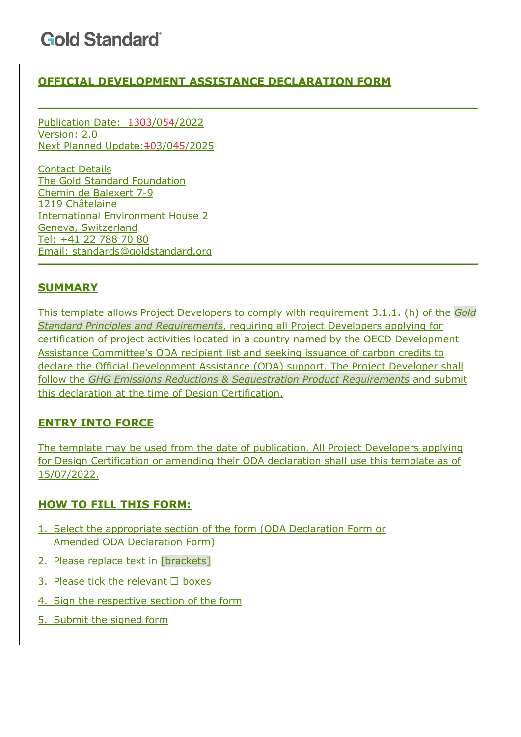### **OFFICIAL DEVELOPMENT ASSISTANCE DECLARATION FORM**

Publication Date: 1303/054/2022 Version: 2.0 Next Planned Update: 403/045/2025

Contact Details The Gold Standard Foundation Chemin de Balexert 7-9 1219 Châtelaine International Environment House 2 Geneva, Switzerland Tel: +41 22 788 70 80 Email: standards@goldstandard.org

#### **SUMMARY**

This template allows Project Developers to comply with requirement 3.1.1. (h) of the *Gold Standard Principles and Requirements*, requiring all Project Developers applying for certification of project activities located in a country named by the OECD Development Assistance Committee's ODA recipient list and seeking issuance of carbon credits to declare the Official Development Assistance (ODA) support. The Project Developer shall follow the *GHG Emissions Reductions & Sequestration Product Requirements* and submit this declaration at the time of Design Certification.

#### **ENTRY INTO FORCE**

The template may be used from the date of publication. All Project Developers applying for Design Certification or amending their ODA declaration shall use this template as of 15/07/2022.

#### **HOW TO FILL THIS FORM:**

- 1. Select the appropriate section of the form (ODA Declaration Form or Amended ODA Declaration Form)
- 2. Please replace text in [brackets]
- 3. Please tick the relevant  $\Box$  boxes
- 4. Sign the respective section of the form
- 5. Submit the signed form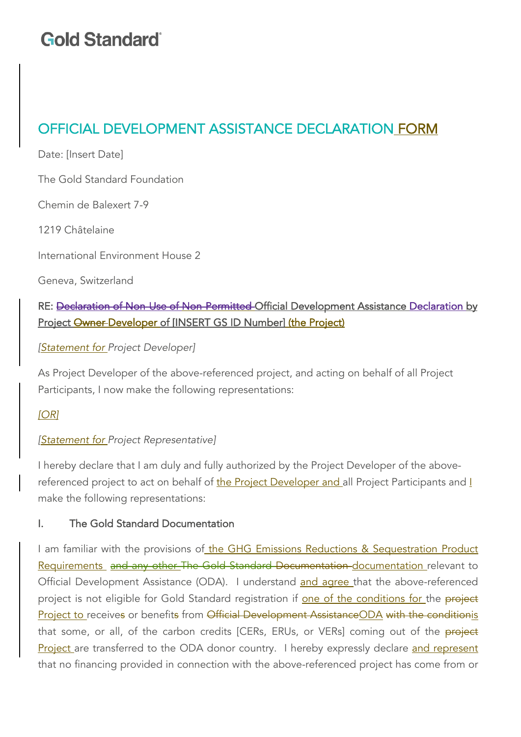### OFFICIAL DEVELOPMENT ASSISTANCE DECLARATION FORM

Date: [Insert Date]

The Gold Standard Foundation

Chemin de Balexert 7-9

1219 Châtelaine

International Environment House 2

Geneva, Switzerland

### RE: Declaration of Non-Use of Non-Permitted Official Development Assistance Declaration by Project Owner Developer of [INSERT GS ID Number] (the Project)

#### *[Statement for Project Developer]*

As Project Developer of the above-referenced project, and acting on behalf of all Project Participants, I now make the following representations:

#### *[OR]*

#### *[Statement for Project Representative]*

I hereby declare that I am duly and fully authorized by the Project Developer of the abovereferenced project to act on behalf of the Project Developer and all Project Participants and I make the following representations:

#### I. The Gold Standard Documentation

I am familiar with the provisions of the GHG Emissions Reductions & Sequestration Product Requirements and any other The Gold Standard Documentation documentation relevant to Official Development Assistance (ODA). I understand and agree that the above-referenced project is not eligible for Gold Standard registration if one of the conditions for the project Project to receives or benefits from Official Development AssistanceODA with the conditionis that some, or all, of the carbon credits [CERs, ERUs, or VERs] coming out of the **project** Project are transferred to the ODA donor country. I hereby expressly declare and represent that no financing provided in connection with the above-referenced project has come from or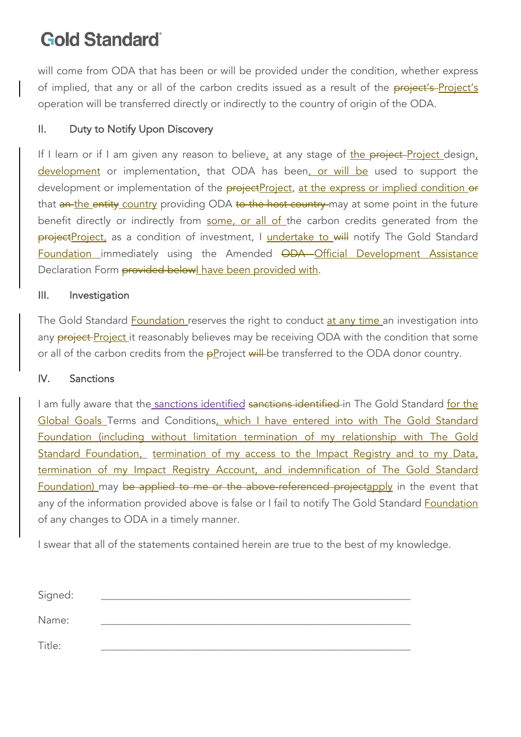will come from ODA that has been or will be provided under the condition, whether express of implied, that any or all of the carbon credits issued as a result of the project's Project's operation will be transferred directly or indirectly to the country of origin of the ODA.

#### II. Duty to Notify Upon Discovery

If I learn or if I am given any reason to believe, at any stage of the project-Project design, development or implementation, that ODA has been, or will be used to support the development or implementation of the projectProject, at the express or implied condition or that an the entity country providing ODA to the host country may at some point in the future benefit directly or indirectly from some, or all of the carbon credits generated from the projectProject, as a condition of investment, I undertake to will notify The Gold Standard Foundation immediately using the Amended ODA Official Development Assistance Declaration Form provided below| have been provided with.

#### III. Investigation

The Gold Standard **Foundation** reserves the right to conduct at any time an investigation into any **project-Project** it reasonably believes may be receiving ODA with the condition that some or all of the carbon credits from the  $p$ Project will be transferred to the ODA donor country.

#### IV. Sanctions

I am fully aware that the sanctions identified sanctions identified in The Gold Standard for the Global Goals Terms and Conditions, which I have entered into with The Gold Standard Foundation (including without limitation termination of my relationship with The Gold Standard Foundation, termination of my access to the Impact Registry and to my Data, termination of my Impact Registry Account, and indemnification of The Gold Standard Foundation) may be applied to me or the above-referenced projectapply in the event that any of the information provided above is false or I fail to notify The Gold Standard Foundation of any changes to ODA in a timely manner.

I swear that all of the statements contained herein are true to the best of my knowledge.

| Signed: |  |
|---------|--|
|         |  |
| Name:   |  |
|         |  |
| Title:  |  |
|         |  |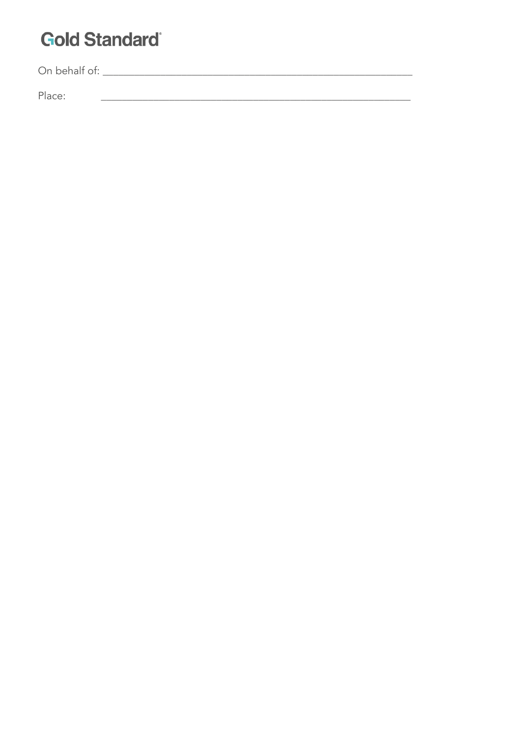Place: